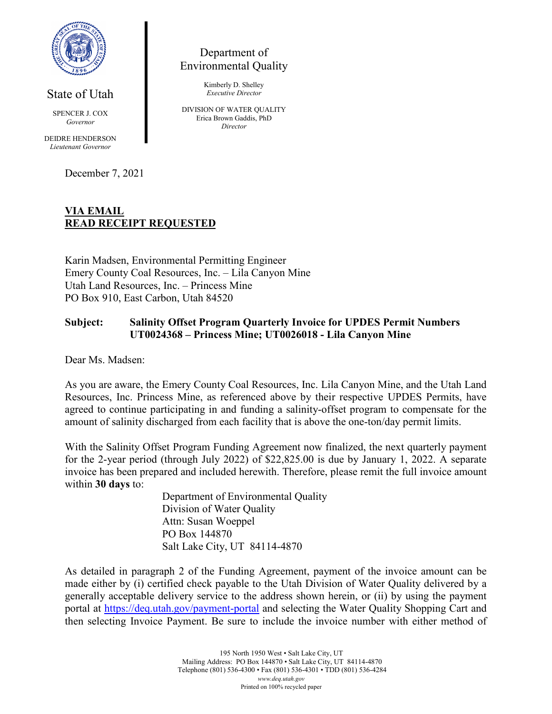

State of Utah

SPENCER J. COX *Governor*

DEIDRE HENDERSON *Lieutenant Governor*

December 7, 2021

Department of Environmental Quality

> Kimberly D. Shelley *Executive Director*

DIVISION OF WATER QUALITY Erica Brown Gaddis, PhD *Director*

## **VIA EMAIL READ RECEIPT REQUESTED**

Karin Madsen, Environmental Permitting Engineer Emery County Coal Resources, Inc. – Lila Canyon Mine Utah Land Resources, Inc. – Princess Mine PO Box 910, East Carbon, Utah 84520

### **Subject: Salinity Offset Program Quarterly Invoice for UPDES Permit Numbers UT0024368 – Princess Mine; UT0026018 - Lila Canyon Mine**

Dear Ms. Madsen:

As you are aware, the Emery County Coal Resources, Inc. Lila Canyon Mine, and the Utah Land Resources, Inc. Princess Mine, as referenced above by their respective UPDES Permits, have agreed to continue participating in and funding a salinity-offset program to compensate for the amount of salinity discharged from each facility that is above the one-ton/day permit limits.

With the Salinity Offset Program Funding Agreement now finalized, the next quarterly payment for the 2-year period (through July 2022) of \$22,825.00 is due by January 1, 2022. A separate invoice has been prepared and included herewith. Therefore, please remit the full invoice amount within **30 days** to:

> Department of Environmental Quality Division of Water Quality Attn: Susan Woeppel PO Box 144870 Salt Lake City, UT 84114-4870

As detailed in paragraph 2 of the Funding Agreement, payment of the invoice amount can be made either by (i) certified check payable to the Utah Division of Water Quality delivered by a generally acceptable delivery service to the address shown herein, or (ii) by using the payment portal at<https://deq.utah.gov/payment-portal> and selecting the Water Quality Shopping Cart and then selecting Invoice Payment. Be sure to include the invoice number with either method of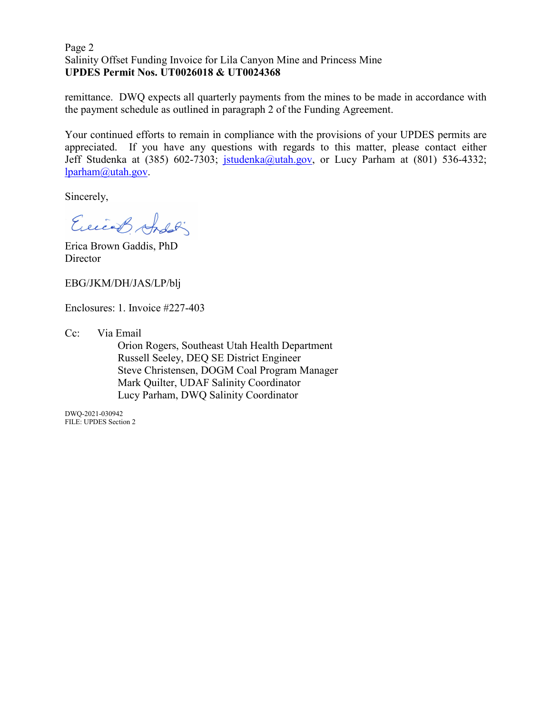#### Page 2 Salinity Offset Funding Invoice for Lila Canyon Mine and Princess Mine **UPDES Permit Nos. UT0026018 & UT0024368**

remittance. DWQ expects all quarterly payments from the mines to be made in accordance with the payment schedule as outlined in paragraph 2 of the Funding Agreement.

Your continued efforts to remain in compliance with the provisions of your UPDES permits are appreciated. If you have any questions with regards to this matter, please contact either Jeff Studenka at (385) 602-7303; [jstudenka@utah.gov,](mailto:jstudenka@utah.gov) or Lucy Parham at (801) 536-4332; [lparham@utah.gov.](mailto:lparham@utah.gov)

Sincerely,

Exicos Andoli

Erica Brown Gaddis, PhD **Director** 

EBG/JKM/DH/JAS/LP/blj

Enclosures: 1. Invoice #227-403

Cc: Via Email

Orion Rogers, Southeast Utah Health Department Russell Seeley, DEQ SE District Engineer Steve Christensen, DOGM Coal Program Manager Mark Quilter, UDAF Salinity Coordinator Lucy Parham, DWQ Salinity Coordinator

DWQ-2021-030942 FILE: UPDES Section 2